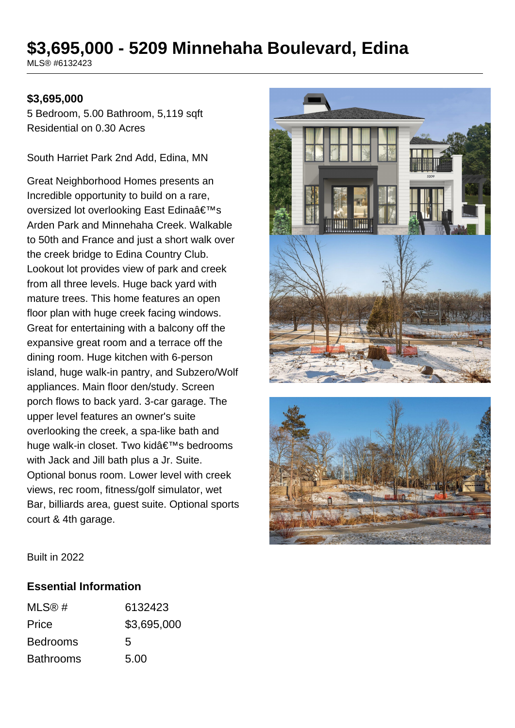# **\$3,695,000 - 5209 Minnehaha Boulevard, Edina**

MLS® #6132423

### **\$3,695,000**

5 Bedroom, 5.00 Bathroom, 5,119 sqft Residential on 0.30 Acres

South Harriet Park 2nd Add, Edina, MN

Great Neighborhood Homes presents an Incredible opportunity to build on a rare, oversized lot overlooking East Edina's Arden Park and Minnehaha Creek. Walkable to 50th and France and just a short walk over the creek bridge to Edina Country Club. Lookout lot provides view of park and creek from all three levels. Huge back yard with mature trees. This home features an open floor plan with huge creek facing windows. Great for entertaining with a balcony off the expansive great room and a terrace off the dining room. Huge kitchen with 6-person island, huge walk-in pantry, and Subzero/Wolf appliances. Main floor den/study. Screen porch flows to back yard. 3-car garage. The upper level features an owner's suite overlooking the creek, a spa-like bath and huge walk-in closet. Two kid's bedrooms with Jack and Jill bath plus a Jr. Suite. Optional bonus room. Lower level with creek views, rec room, fitness/golf simulator, wet Bar, billiards area, guest suite. Optional sports court & 4th garage.





Built in 2022

#### **Essential Information**

| MLS@#            | 6132423     |
|------------------|-------------|
| Price            | \$3,695,000 |
| <b>Bedrooms</b>  | 5           |
| <b>Bathrooms</b> | 5.00        |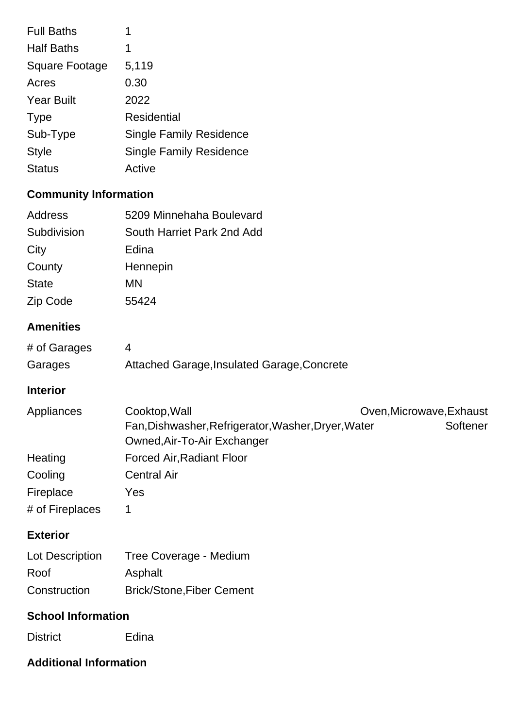| <b>Full Baths</b>     | 1                              |
|-----------------------|--------------------------------|
| <b>Half Baths</b>     | 1                              |
| <b>Square Footage</b> | 5,119                          |
| Acres                 | 0.30                           |
| <b>Year Built</b>     | 2022                           |
| <b>Type</b>           | Residential                    |
| Sub-Type              | <b>Single Family Residence</b> |
| <b>Style</b>          | <b>Single Family Residence</b> |
| <b>Status</b>         | Active                         |

# **Community Information**

| Address                | 5209 Minnehaha Boulevard                                                                                                                    |
|------------------------|---------------------------------------------------------------------------------------------------------------------------------------------|
| Subdivision            | South Harriet Park 2nd Add                                                                                                                  |
| City                   | Edina                                                                                                                                       |
| County                 | Hennepin                                                                                                                                    |
| <b>State</b>           | <b>MN</b>                                                                                                                                   |
| Zip Code               | 55424                                                                                                                                       |
| <b>Amenities</b>       |                                                                                                                                             |
| # of Garages           | $\overline{4}$                                                                                                                              |
| Garages                | Attached Garage, Insulated Garage, Concrete                                                                                                 |
| <b>Interior</b>        |                                                                                                                                             |
| Appliances             | Cooktop, Wall<br>Oven, Microwave, Exhaust<br>Fan, Dishwasher, Refrigerator, Washer, Dryer, Water<br>Softener<br>Owned, Air-To-Air Exchanger |
| Heating                | <b>Forced Air, Radiant Floor</b>                                                                                                            |
| Cooling                | <b>Central Air</b>                                                                                                                          |
| Fireplace              | Yes                                                                                                                                         |
| # of Fireplaces        | 1                                                                                                                                           |
| <b>Exterior</b>        |                                                                                                                                             |
| <b>Lot Description</b> | Tree Coverage - Medium                                                                                                                      |
| Roof                   | Asphalt                                                                                                                                     |
| Construction           | <b>Brick/Stone, Fiber Cement</b>                                                                                                            |
|                        |                                                                                                                                             |

### **School Information**

District Edina

## **Additional Information**